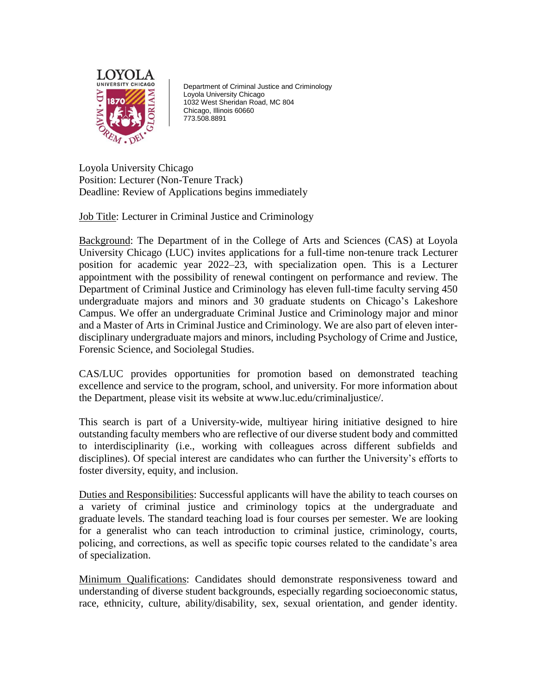

Department of Criminal Justice and Criminology Loyola University Chicago 1032 West Sheridan Road, MC 804 Chicago, Illinois 60660 773.508.8891

Loyola University Chicago Position: Lecturer (Non-Tenure Track) Deadline: Review of Applications begins immediately

Job Title: Lecturer in Criminal Justice and Criminology

Background: The Department of in the College of Arts and Sciences (CAS) at Loyola University Chicago (LUC) invites applications for a full-time non-tenure track Lecturer position for academic year 2022–23, with specialization open. This is a Lecturer appointment with the possibility of renewal contingent on performance and review. The Department of Criminal Justice and Criminology has eleven full-time faculty serving 450 undergraduate majors and minors and 30 graduate students on Chicago's Lakeshore Campus. We offer an undergraduate Criminal Justice and Criminology major and minor and a Master of Arts in Criminal Justice and Criminology. We are also part of eleven interdisciplinary undergraduate majors and minors, including Psychology of Crime and Justice, Forensic Science, and Sociolegal Studies.

CAS/LUC provides opportunities for promotion based on demonstrated teaching excellence and service to the program, school, and university. For more information about the Department, please visit its website at www.luc.edu/criminaljustice/.

This search is part of a University-wide, multiyear hiring initiative designed to hire outstanding faculty members who are reflective of our diverse student body and committed to interdisciplinarity (i.e., working with colleagues across different subfields and disciplines). Of special interest are candidates who can further the University's efforts to foster diversity, equity, and inclusion.

Duties and Responsibilities: Successful applicants will have the ability to teach courses on a variety of criminal justice and criminology topics at the undergraduate and graduate levels. The standard teaching load is four courses per semester. We are looking for a generalist who can teach introduction to criminal justice, criminology, courts, policing, and corrections, as well as specific topic courses related to the candidate's area of specialization.

Minimum Qualifications: Candidates should demonstrate responsiveness toward and understanding of diverse student backgrounds, especially regarding socioeconomic status, race, ethnicity, culture, ability/disability, sex, sexual orientation, and gender identity.